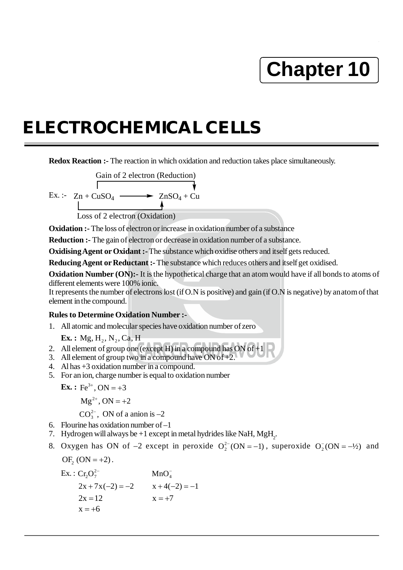## **Chapter 10**

## **ELECTROCHEMICAL CELLS**

**Redox Reaction :-** The reaction in which oxidation and reduction takes place simultaneously.



**Oxidation :-** The loss of electron or increase in oxidation number of a substance

**Reduction :-** The gain of electron or decrease in oxidation number of a substance.

**Oxidising Agent or Oxidant :-** The substance which oxidise others and itself gets reduced.

**Reducing Agent or Reductant :-** The substance which reduces others and itself get oxidised.

**Oxidation Number (ON):-** It is the hypothetical charge that an atom would have if all bonds to atoms of different elements were 100% ionic.

It represents the number of electrons lost (if O.N is positive) and gain (if O.N is negative) by an atom of that element in the compound.

## **Rules to Determine Oxidation Number :-**

1. All atomic and molecular species have oxidation number of zero

**Ex.** : Mg,  $H_2$ , N<sub>2</sub>, Ca, H

- 2. All element of group one (except  $\overline{H}$ ) in a compound has ON of  $+1$
- 3. All element of group two in a compound have ON of  $\pm 2$ .
- 4. Al has +3 oxidation number in a compound.
- 5. For an ion, charge number is equal to oxidation number

**Ex.**:  $Fe^{3+}$ , ON = +3

 $Mg^{2+}$ , ON = +2

 $CO_3^{2-}$ , ON of a anion is  $-2$ 

- 6. Flourine has oxidation number of –1
- 7. Hydrogen will always be  $+1$  except in metal hydrides like NaH, MgH<sub>2</sub>.
- 8. Oxygen has ON of  $-2$  except in peroxide  $O_2^{2-}$ (ON = -1), superoxide  $O_2^{-}$ (ON = -1/2) and

$$
\mathrm{OF}_2 \left( \mathrm{ON} = +2 \right).
$$

Ex. :  $Cr_2O_7^{2-}$  MnO<sub>4</sub>  $2x + 7x(-2) = -2$   $x + 4(-2) = -1$  $2x = 12$   $x = +7$  $x = +6$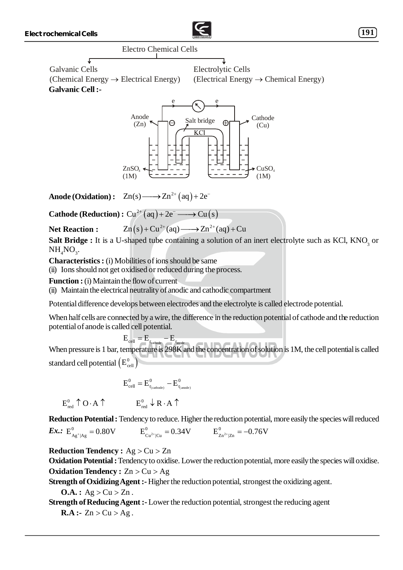

Electro Chemical Cells

 $\sqrt{2}$ Galvanic Cells (Chemical Energy  $\rightarrow$  Electrical Energy) **Galvanic Cell :-**

Electrolytic Cells  $(Electrical Energy \rightarrow Chemical Energy)$ 



**Anode (Oxidation) :**  $Zn(s) \longrightarrow Zn^{2+}(aq) + 2e^{-}$ 

**Cathode (Reduction) :**  $Cu^{2+}(aq) + 2e^- \longrightarrow Cu(s)$ 

$$
\text{Net Reaction}: \qquad \text{Zn}(s) + \text{Cu}^{2+}(aq) \longrightarrow \text{Zn}^{2+}(aq) + \text{Cu}
$$

**Salt Bridge :** It is a U-shaped tube containing a solution of an inert electrolyte such as KCl, KNO<sub>3</sub> or  $NH_{4}NO_{3}$ .

**Characteristics :** (i) Mobilities of ions should be same

(ii) Ions should not get oxidised or reduced during the process.

**Function :** (i) Maintain the flow of current

(ii) Maintain the electrical neutrality of anodic and cathodic compartment

Potential difference develops between electrodes and the electrolyte is called electrode potential.

When half cells are connected by a wire, the difference in the reduction potential of cathode and the reduction potential of anode is called cell potential.

$$
E_{\mathrm{cell}} = E_{\mathrm{r}_{\mathrm{cathode}}} - E_{\mathrm{r}_{\mathrm{anode}}}
$$

When pressure is 1 bar, temperature is 298K and the concentration of solution is 1M, the cell potential is called standard cell potential  $\left( \mathrm{E}_{\text{cell}}^{0}\right)$ 

$$
E_{cell}^0 = E_{r_{(cathode)}}^0 - E_{r_{(anode)}}^0
$$

 $E_{\text{red}}^0 \uparrow$  O · A  $\uparrow$  E<sub>red</sub>  $\downarrow$  R · A  $\uparrow$ 

**Reduction Potential :** Tendency to reduce. Higher the reduction potential, more easily the species will reduced  $\bm{Ex.:}\,\,\, {\rm E}_{\rm Ag^+|Ag}^0 = 0.80{\rm V} \qquad \qquad {\rm E}_{\rm Cu^{2+}|Cu}^0 = 0.34{\rm V} \qquad \qquad {\rm E}_{\rm Zn^{2+}|Zn}^0$  $E_{Cu^{2+}CO}^{0} = 0.34V$  $E_{Zn^{2+}|Zn}^{0} = -0.76V$ 

**Reduction Tendency :** Ag > Cu > Zn

**Oxidation Potential :** Tendency to oxidise. Lower the reduction potential, more easily the species will oxidise. **Oxidation Tendency :** Zn > Cu > Ag

**Strength of Oxidizing Agent :-** Higher the reduction potential, strongest the oxidizing agent.

**O.A.**:  $Ag > Cu > Zn$ .

**Strength of Reducing Agent :-** Lower the reduction potential, strongest the reducing agent

**R.A :-**  $Zn > Cu > Ag$ .